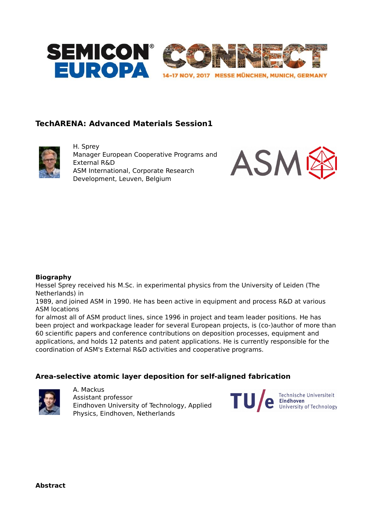

# **TechARENA: Advanced Materials Session1**



H. Sprey Manager European Cooperative Programs and External R&D ASM International, Corporate Research Development, Leuven, Belgium



### **Biography**

Hessel Sprey received his M.Sc. in experimental physics from the University of Leiden (The Netherlands) in

1989, and joined ASM in 1990. He has been active in equipment and process R&D at various ASM locations

for almost all of ASM product lines, since 1996 in project and team leader positions. He has been project and workpackage leader for several European projects, is (co-)author of more than 60 scientific papers and conference contributions on deposition processes, equipment and applications, and holds 12 patents and patent applications. He is currently responsible for the coordination of ASM's External R&D activities and cooperative programs.

## **Area-selective atomic layer deposition for self-aligned fabrication**



A. Mackus Assistant professor Eindhoven University of Technology, Applied Physics, Eindhoven, Netherlands

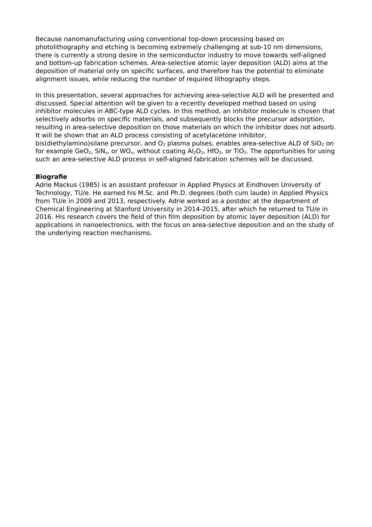Because nanomanufacturing using conventional top-down processing based on photolithography and etching is becoming extremely challenging at sub-10 nm dimensions, there is currently a strong desire in the semiconductor industry to move towards self-aligned and bottom-up fabrication schemes. Area-selective atomic layer deposition (ALD) aims at the deposition of material only on specific surfaces, and therefore has the potential to eliminate alignment issues, while reducing the number of required lithography steps.

In this presentation, several approaches for achieving area-selective ALD will be presented and discussed. Special attention will be given to a recently developed method based on using inhibitor molecules in ABC-type ALD cycles. In this method, an inhibitor molecule is chosen that selectively adsorbs on specific materials, and subsequently blocks the precursor adsorption, resulting in area-selective deposition on those materials on which the inhibitor does not adsorb. It will be shown that an ALD process consisting of acetylacetone inhibitor, bis(diethylamino)silane precursor, and  $O_2$  plasma pulses, enables area-selective ALD of SiO<sub>2</sub> on for example GeO<sub>2</sub>, SiN<sub>x</sub>, or WO<sub>x</sub>, without coating  $Al_2O_3$ , HfO<sub>2</sub>, or TiO<sub>2</sub>. The opportunities for using such an area-selective ALD process in self-aligned fabrication schemes will be discussed.

## **Biografie**

Adrie Mackus (1985) is an assistant professor in Applied Physics at Eindhoven University of Technology, TU/e. He earned his M.Sc. and Ph.D. degrees (both cum laude) in Applied Physics from TU/e in 2009 and 2013, respectively. Adrie worked as a postdoc at the department of Chemical Engineering at Stanford University in 2014-2015, after which he returned to TU/e in 2016. His research covers the field of thin film deposition by atomic layer deposition (ALD) for applications in nanoelectronics, with the focus on area-selective deposition and on the study of the underlying reaction mechanisms.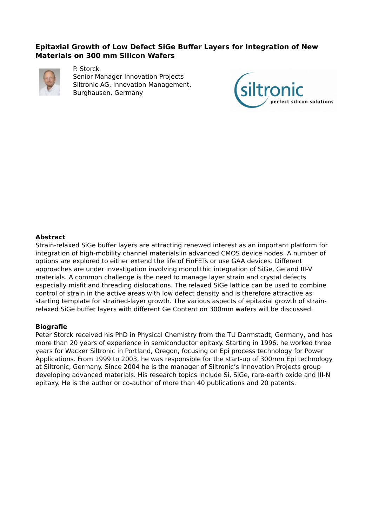# **Epitaxial Growth of Low Defect SiGe Buffer Layers for Integration of New Materials on 300 mm Silicon Wafers**



P. Storck Senior Manager Innovation Projects Siltronic AG, Innovation Management, Burghausen, Germany



## **Abstract**

Strain-relaxed SiGe buffer layers are attracting renewed interest as an important platform for integration of high-mobility channel materials in advanced CMOS device nodes. A number of options are explored to either extend the life of FinFETs or use GAA devices. Different approaches are under investigation involving monolithic integration of SiGe, Ge and III-V materials. A common challenge is the need to manage layer strain and crystal defects especially misfit and threading dislocations. The relaxed SiGe lattice can be used to combine control of strain in the active areas with low defect density and is therefore attractive as starting template for strained-layer growth. The various aspects of epitaxial growth of strainrelaxed SiGe buffer layers with different Ge Content on 300mm wafers will be discussed.

### **Biografie**

Peter Storck received his PhD in Physical Chemistry from the TU Darmstadt, Germany, and has more than 20 years of experience in semiconductor epitaxy. Starting in 1996, he worked three years for Wacker Siltronic in Portland, Oregon, focusing on Epi process technology for Power Applications. From 1999 to 2003, he was responsible for the start-up of 300mm Epi technology at Siltronic, Germany. Since 2004 he is the manager of Siltronic's Innovation Projects group developing advanced materials. His research topics include Si, SiGe, rare-earth oxide and III-N epitaxy. He is the author or co-author of more than 40 publications and 20 patents.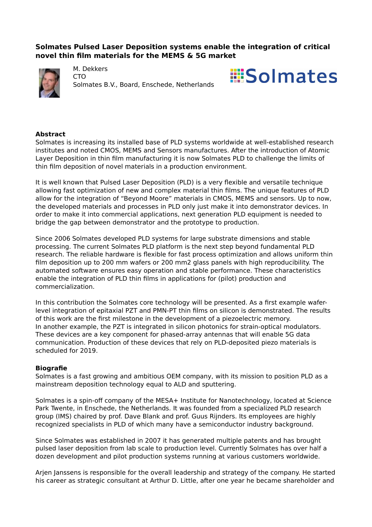# **Solmates Pulsed Laser Deposition systems enable the integration of critical novel thin film materials for the MEMS & 5G market**



M. Dekkers

**CTO** Solmates B.V., Board, Enschede, Netherlands



### **Abstract**

Solmates is increasing its installed base of PLD systems worldwide at well-established research institutes and noted CMOS, MEMS and Sensors manufactures. After the introduction of Atomic Layer Deposition in thin film manufacturing it is now Solmates PLD to challenge the limits of thin film deposition of novel materials in a production environment.

It is well known that Pulsed Laser Deposition (PLD) is a very flexible and versatile technique allowing fast optimization of new and complex material thin films. The unique features of PLD allow for the integration of "Beyond Moore" materials in CMOS, MEMS and sensors. Up to now, the developed materials and processes in PLD only just make it into demonstrator devices. In order to make it into commercial applications, next generation PLD equipment is needed to bridge the gap between demonstrator and the prototype to production.

Since 2006 Solmates developed PLD systems for large substrate dimensions and stable processing. The current Solmates PLD platform is the next step beyond fundamental PLD research. The reliable hardware is flexible for fast process optimization and allows uniform thin film deposition up to 200 mm wafers or 200 mm2 glass panels with high reproducibility. The automated software ensures easy operation and stable performance. These characteristics enable the integration of PLD thin films in applications for (pilot) production and commercialization.

In this contribution the Solmates core technology will be presented. As a first example waferlevel integration of epitaxial PZT and PMN-PT thin films on silicon is demonstrated. The results of this work are the first milestone in the development of a piezoelectric memory. In another example, the PZT is integrated in silicon photonics for strain-optical modulators. These devices are a key component for phased-array antennas that will enable 5G data communication. Production of these devices that rely on PLD-deposited piezo materials is scheduled for 2019.

### **Biografie**

Solmates is a fast growing and ambitious OEM company, with its mission to position PLD as a mainstream deposition technology equal to ALD and sputtering.

Solmates is a spin-off company of the MESA+ Institute for Nanotechnology, located at Science Park Twente, in Enschede, the Netherlands. It was founded from a specialized PLD research group (IMS) chaired by prof. Dave Blank and prof. Guus Rijnders. Its employees are highly recognized specialists in PLD of which many have a semiconductor industry background.

Since Solmates was established in 2007 it has generated multiple patents and has brought pulsed laser deposition from lab scale to production level. Currently Solmates has over half a dozen development and pilot production systems running at various customers worldwide.

Arjen Janssens is responsible for the overall leadership and strategy of the company. He started his career as strategic consultant at Arthur D. Little, after one year he became shareholder and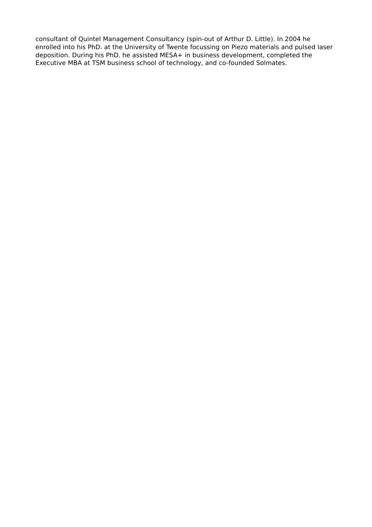consultant of Quintel Management Consultancy (spin-out of Arthur D. Little). In 2004 he enrolled into his PhD. at the University of Twente focussing on Piezo materials and pulsed laser deposition. During his PhD. he assisted MESA+ in business development, completed the Executive MBA at TSM business school of technology, and co-founded Solmates.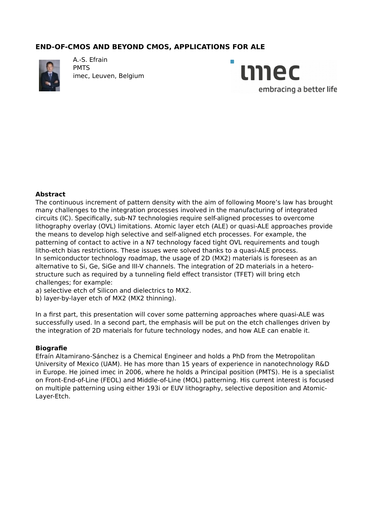# **END-OF-CMOS AND BEYOND CMOS, APPLICATIONS FOR ALE**



A.-S. Efrain PMTS imec, Leuven, Belgium



### **Abstract**

The continuous increment of pattern density with the aim of following Moore's law has brought many challenges to the integration processes involved in the manufacturing of integrated circuits (IC). Specifically, sub-N7 technologies require self-aligned processes to overcome lithography overlay (OVL) limitations. Atomic layer etch (ALE) or quasi-ALE approaches provide the means to develop high selective and self-aligned etch processes. For example, the patterning of contact to active in a N7 technology faced tight OVL requirements and tough litho-etch bias restrictions. These issues were solved thanks to a quasi-ALE process. In semiconductor technology roadmap, the usage of 2D (MX2) materials is foreseen as an alternative to Si, Ge, SiGe and III-V channels. The integration of 2D materials in a heterostructure such as required by a tunneling field effect transistor (TFET) will bring etch challenges; for example:

- a) selective etch of Silicon and dielectrics to MX2.
- b) layer-by-layer etch of MX2 (MX2 thinning).

In a first part, this presentation will cover some patterning approaches where quasi-ALE was successfully used. In a second part, the emphasis will be put on the etch challenges driven by the integration of 2D materials for future technology nodes, and how ALE can enable it.

### **Biografie**

Efraín Altamirano-Sánchez is a Chemical Engineer and holds a PhD from the Metropolitan University of Mexico (UAM). He has more than 15 years of experience in nanotechnology R&D in Europe. He joined imec in 2006, where he holds a Principal position (PMTS). He is a specialist on Front-End-of-Line (FEOL) and Middle-of-Line (MOL) patterning. His current interest is focused on multiple patterning using either 193i or EUV lithography, selective deposition and Atomic-Layer-Etch.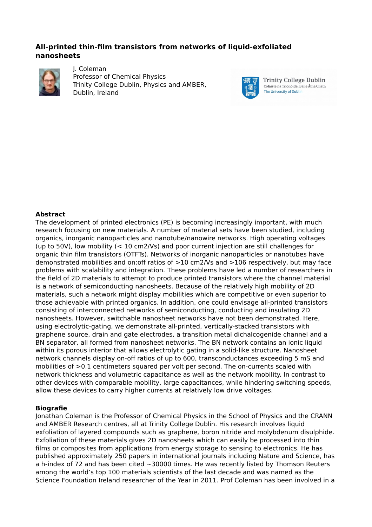# **All-printed thin-film transistors from networks of liquid-exfoliated nanosheets**

![](_page_6_Picture_1.jpeg)

J. Coleman Professor of Chemical Physics Trinity College Dublin, Physics and AMBER, Dublin, Ireland

![](_page_6_Picture_3.jpeg)

**Trinity College Dublin** Coláiste na Tríonóide, Baile Átha Cliath The University of Dublin

## **Abstract**

The development of printed electronics (PE) is becoming increasingly important, with much research focusing on new materials. A number of material sets have been studied, including organics, inorganic nanoparticles and nanotube/nanowire networks. High operating voltages (up to 50V), low mobility (< 10 cm2/Vs) and poor current injection are still challenges for organic thin film transistors (OTFTs). Networks of inorganic nanoparticles or nanotubes have demonstrated mobilities and on:off ratios of >10 cm2/Vs and >106 respectively, but may face problems with scalability and integration. These problems have led a number of researchers in the field of 2D materials to attempt to produce printed transistors where the channel material is a network of semiconducting nanosheets. Because of the relatively high mobility of 2D materials, such a network might display mobilities which are competitive or even superior to those achievable with printed organics. In addition, one could envisage all-printed transistors consisting of interconnected networks of semiconducting, conducting and insulating 2D nanosheets. However, switchable nanosheet networks have not been demonstrated. Here, using electrolytic-gating, we demonstrate all-printed, vertically-stacked transistors with graphene source, drain and gate electrodes, a transition metal dichalcogenide channel and a BN separator, all formed from nanosheet networks. The BN network contains an ionic liquid within its porous interior that allows electrolytic gating in a solid-like structure. Nanosheet network channels display on-off ratios of up to 600, transconductances exceeding 5 mS and mobilities of >0.1 centimeters squared per volt per second. The on-currents scaled with network thickness and volumetric capacitance as well as the network mobility. In contrast to other devices with comparable mobility, large capacitances, while hindering switching speeds, allow these devices to carry higher currents at relatively low drive voltages.

### **Biografie**

Jonathan Coleman is the Professor of Chemical Physics in the School of Physics and the CRANN and AMBER Research centres, all at Trinity College Dublin. His research involves liquid exfoliation of layered compounds such as graphene, boron nitride and molybdenum disulphide. Exfoliation of these materials gives 2D nanosheets which can easily be processed into thin films or composites from applications from energy storage to sensing to electronics. He has published approximately 250 papers in international journals including Nature and Science, has a h-index of 72 and has been cited  $\sim$ 30000 times. He was recently listed by Thomson Reuters among the world's top 100 materials scientists of the last decade and was named as the Science Foundation Ireland researcher of the Year in 2011. Prof Coleman has been involved in a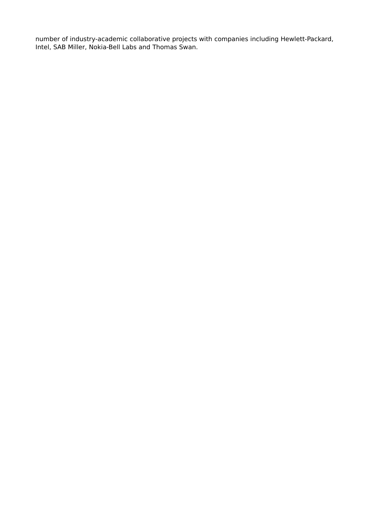number of industry-academic collaborative projects with companies including Hewlett-Packard, Intel, SAB Miller, Nokia-Bell Labs and Thomas Swan.